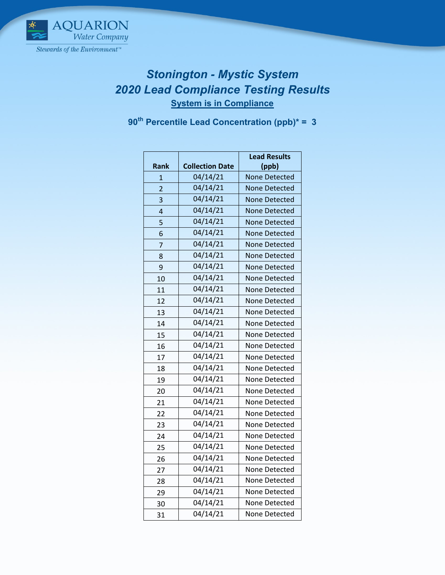

## *Stonington - Mystic System Lead Compliance Testing Results* **System is in Compliance**

**th Percentile Lead Concentration (ppb)\* = 3**

|                |                        | <b>Lead Results</b>  |
|----------------|------------------------|----------------------|
| <b>Rank</b>    | <b>Collection Date</b> | (ppb)                |
| $\mathbf{1}$   | 04/14/21               | <b>None Detected</b> |
| $\overline{2}$ | 04/14/21               | <b>None Detected</b> |
| $\overline{3}$ | 04/14/21               | <b>None Detected</b> |
| 4              | 04/14/21               | <b>None Detected</b> |
| 5              | 04/14/21               | <b>None Detected</b> |
| 6              | $\overline{04/14/21}$  | <b>None Detected</b> |
| 7              | 04/14/21               | <b>None Detected</b> |
| 8              | 04/14/21               | <b>None Detected</b> |
| 9              | 04/14/21               | <b>None Detected</b> |
| 10             | 04/14/21               | <b>None Detected</b> |
| 11             | 04/14/21               | None Detected        |
| 12             | 04/14/21               | None Detected        |
| 13             | 04/14/21               | None Detected        |
| 14             | 04/14/21               | None Detected        |
| 15             | 04/14/21               | None Detected        |
| 16             | 04/14/21               | None Detected        |
| 17             | 04/14/21               | None Detected        |
| 18             | 04/14/21               | None Detected        |
| 19             | 04/14/21               | None Detected        |
| 20             | 04/14/21               | None Detected        |
| 21             | 04/14/21               | None Detected        |
| 22             | 04/14/21               | None Detected        |
| 23             | 04/14/21               | None Detected        |
| 24             | 04/14/21               | None Detected        |
| 25             | 04/14/21               | None Detected        |
| 26             | 04/14/21               | None Detected        |
| 27             | 04/14/21               | None Detected        |
| 28             | 04/14/21               | None Detected        |
| 29             | 04/14/21               | None Detected        |
| 30             | 04/14/21               | None Detected        |
| 31             | 04/14/21               | None Detected        |